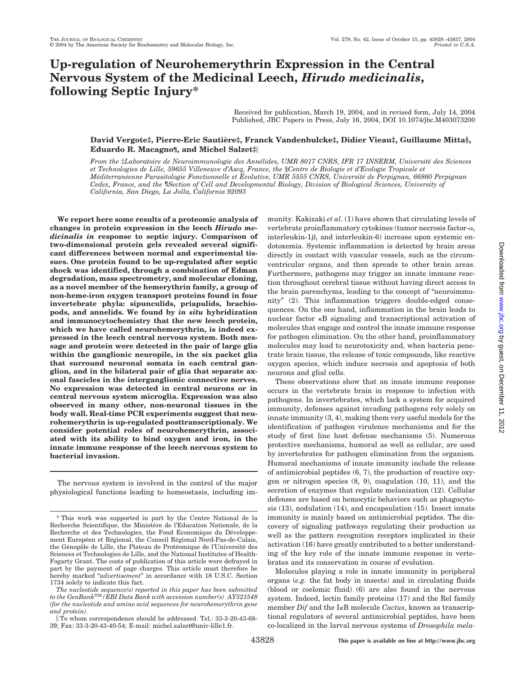# **Up-regulation of Neurohemerythrin Expression in the Central Nervous System of the Medicinal Leech,** *Hirudo medicinalis***, following Septic Injury\***

Received for publication, March 19, 2004, and in revised form, July 14, 2004 Published, JBC Papers in Press, July 16, 2004, DOI 10.1074/jbc.M403073200

## **David Vergote‡, Pierre-Eric Sautie`re‡, Franck Vandenbulcke‡, Didier Vieau‡, Guillaume Mitta§, Eduardo R. Macagno¶, and Michel Salzet‡**

*From the* ‡*Laboratoire de Neuroimmunologie des Anne´lides, UMR 8017 CNRS, IFR 17 INSERM, Universite´ des Sciences et Technologies de Lille, 59655 Villeneuve d'Ascq, France, the* §*Centre de Biologie et d'Ecologie Tropicale et Me´diterrane´enne Parasitologie Fonctionnelle et E´ volutive, UMR 5555 CNRS, Universite´ de Perpignan, 66860 Perpignan Cedex, France, and the* ¶*Section of Cell and Developmental Biology, Division of Biological Sciences, University of California, San Diego, La Jolla, California 92093*

**We report here some results of a proteomic analysis of changes in protein expression in the leech** *Hirudo medicinalis in* **response to septic injury. Comparison of two-dimensional protein gels revealed several significant differences between normal and experimental tissues. One protein found to be up-regulated after septic shock was identified, through a combination of Edman degradation, mass spectrometry, and molecular cloning, as a novel member of the hemerythrin family, a group of non-heme-iron oxygen transport proteins found in four invertebrate phyla: sipunculids, priapulids, brachiopods, and annelids. We found by** *in situ* **hybridization and immunocytochemistry that the new leech protein, which we have called neurohemerythrin, is indeed expressed in the leech central nervous system. Both message and protein were detected in the pair of large glia within the ganglionic neuropile, in the six packet glia that surround neuronal somata in each central ganglion, and in the bilateral pair of glia that separate axonal fascicles in the interganglionic connective nerves. No expression was detected in central neurons or in central nervous system microglia. Expression was also observed in many other, non-neuronal tissues in the body wall. Real-time PCR experiments suggest that neurohemerythrin is up-regulated posttranscriptionaly. We consider potential roles of neurohemerythrin, associated with its ability to bind oxygen and iron, in the innate immune response of the leech nervous system to bacterial invasion.**

The nervous system is involved in the control of the major physiological functions leading to homeostasis, including immunity. Kakizaki *et al*. (1) have shown that circulating levels of vertebrate proinflammatory cytokines (tumor necrosis factor- $\alpha$ ,  $interleukin-1\beta$ , and  $interleukin-6$ ) increase upon systemic endotoxemia. Systemic inflammation is detected by brain areas directly in contact with vascular vessels, such as the circumventricular organs, and then spreads to other brain areas. Furthermore, pathogens may trigger an innate immune reaction throughout cerebral tissue without having direct access to the brain parenchyma, leading to the concept of "neuroimmunity" (2). This inflammation triggers double-edged consequences. On the one hand, inflammation in the brain leads to nuclear factor  $\kappa$ B signaling and transcriptional activation of molecules that engage and control the innate immune response for pathogen elimination. On the other hand, proinflammatory molecules may lead to neurotoxicity and, when bacteria penetrate brain tissue, the release of toxic compounds, like reactive oxygen species, which induce necrosis and apoptosis of both neurons and glial cells.

These observations show that an innate immune response occurs in the vertebrate brain in response to infection with pathogens. In invertebrates, which lack a system for acquired immunity, defenses against invading pathogens rely solely on innate immunity (3, 4), making them very useful models for the identification of pathogen virulence mechanisms and for the study of first line host defense mechanisms (5). Numerous protective mechanisms, humoral as well as cellular, are used by invertebrates for pathogen elimination from the organism. Humoral mechanisms of innate immunity include the release of antimicrobial peptides (6, 7), the production of reactive oxygen or nitrogen species (8, 9), coagulation (10, 11), and the secretion of enzymes that regulate melanization (12). Cellular defenses are based on hemocytic behaviors such as phagocytosis (13), nodulation (14), and encapsulation (15). Insect innate immunity is mainly based on antimicrobial peptides. The discovery of signaling pathways regulating their production as well as the pattern recognition receptors implicated in their activation (16) have greatly contributed to a better understanding of the key role of the innate immune response in vertebrates and its conservation in course of evolution.

Molecules playing a role in innate immunity in peripheral organs (*e.g.* the fat body in insects) and in circulating fluids (blood or coelomic fluid) (6) are also found in the nervous system. Indeed, lectin family proteins (17) and the Rel family member *Dif* and the I<sub>K</sub>B molecule *Cactus*, known as transcriptional regulators of several antimicrobial peptides, have been co-localized in the larval nervous systems of *Drosophila mela-*

<sup>\*</sup> This work was supported in part by the Centre National de la Recherche Scientifique, the Ministère de l'Education Nationale, de la Recherche et des Technologies, the Fond Economique du Développement Européen et Régional, the Conseil Régional Nord-Pas-de-Calais, the Génopôle de Lille, the Plateau de Protéomique de l'Université des Sciences et Technologies de Lille, and the National Institutes of Health-Fogarty Grant. The costs of publication of this article were defrayed in part by the payment of page charges. This article must therefore be hereby marked "*advertisement*" in accordance with 18 U.S.C. Section 1734 solely to indicate this fact.

*The nucleotide sequence(s) reported in this paper has been submitted to the GenBank*TM*/EBI Data Bank with accession number(s) AY521548 (for the nucleotide and amino acid sequences for neurohemerythrin gene and protein).*

To whom correspondence should be addressed. Tel.: 33-3-20-43-68- 39; Fax: 33-3-20-43-40-54; E-mail: michel.salzet@univ-lille1.fr.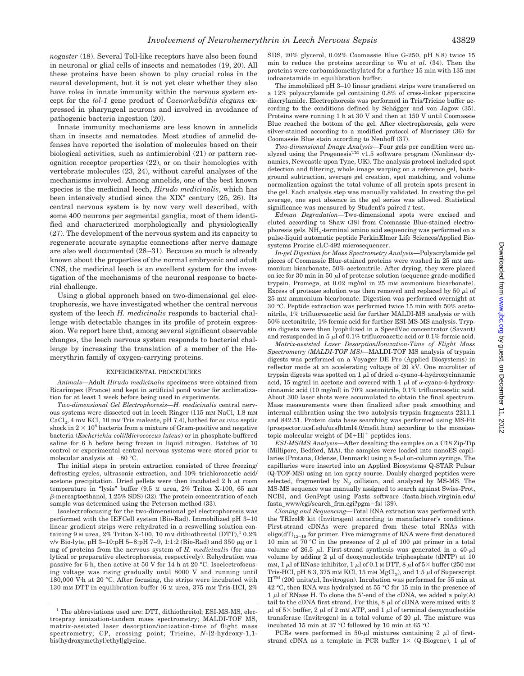*nogaster* (18). Several Toll-like receptors have also been found in neuronal or glial cells of insects and nematodes (19, 20). All these proteins have been shown to play crucial roles in the neural development, but it is not yet clear whether they also have roles in innate immunity within the nervous system except for the *tol-1* gene product of *Caenorhabditis elegans* expressed in pharyngeal neurons and involved in avoidance of pathogenic bacteria ingestion (20).

Innate immunity mechanisms are less known in annelids than in insects and nematodes. Most studies of annelid defenses have reported the isolation of molecules based on their biological activities, such as antimicrobial (21) or pattern recognition receptor properties (22), or on their homologies with vertebrate molecules (23, 24), without careful analyses of the mechanisms involved. Among annelids, one of the best known species is the medicinal leech, *Hirudo medicinalis*, which has been intensively studied since the XIX° century (25, 26). Its central nervous system is by now very well described, with some 400 neurons per segmental ganglia, most of them identified and characterized morphologically and physiologically (27). The development of the nervous system and its capacity to regenerate accurate synaptic connections after nerve damage are also well documented (28–31). Because so much is already known about the properties of the normal embryonic and adult CNS, the medicinal leech is an excellent system for the investigation of the mechanisms of the neuronal response to bacterial challenge.

Using a global approach based on two-dimensional gel electrophoresis, we have investigated whether the central nervous system of the leech *H. medicinalis* responds to bacterial challenge with detectable changes in its profile of protein expression. We report here that, among several significant observable changes, the leech nervous system responds to bacterial challenge by increasing the translation of a member of the Hemerythrin family of oxygen-carrying proteins.

#### EXPERIMENTAL PROCEDURES

*Animals—*Adult *Hirudo medicinalis* specimens were obtained from Ricarimpex (France) and kept in artificial pond water for acclimatization for at least 1 week before being used in experiments.

*Two-dimensional Gel Electrophoresis—H. medicinalis* central nervous systems were dissected out in leech Ringer (115 mM NaCl, 1.8 mM CaCl<sub>2</sub>, 4 mM KCl, 10 mM Tris maleate, pH 7.4), bathed for *ex vivo* septic shock in  $2 \times 10^8$  bacteria from a mixture of Gram-positive and negative bacteria (*Escherichia coli*/*Micrococcus luteus*) or in phosphate-buffered saline for 6 h before being frozen in liquid nitrogen. Batches of 10 control or experimental central nervous systems were stored prior to molecular analysis at -80 °C.

The initial steps in protein extraction consisted of three freezing/ defrosting cycles, ultrasonic extraction, and 10% trichloroacetic acid/ acetone precipitation. Dried pellets were then incubated 2 h at room temperature in "lysis" buffer (9.5 M urea, 2% Triton X-100, 65 mM  $\beta$ -mercaptoethanol, 1.25% SDS) (32). The protein concentration of each sample was determined using the Peterson method (33).

Isoelectrofocusing for the two-dimensional gel electrophoresis was performed with the IEFCell system (Bio-Rad). Immobilized pH 3–10 linear gradient strips were rehydrated in a reswelling solution containing 9 M urea,  $2\%$  Triton X-100, 10 mM dithiothreitol (DTT),<sup>1</sup> 0.2% v/v Bio-lyte, pH 3-10:pH 5-8:pH 7-9, 1:1:2 (Bio-Rad) and 350  $\mu$ g or 1 mg of proteins from the nervous system of *H. medicinalis* (for analytical or preparative electrophoresis, respectively). Rehydration was passive for 6 h, then active at 50 V for 14 h at 20 °C. Isoelectrofocusing voltage was rising gradually until 8000 V and running until 180,000 Vh at 20 °C. After focusing, the strips were incubated with 130 mM DTT in equilibration buffer (6 M urea, 375 mM Tris-HCl, 2% SDS, 20% glycerol, 0.02% Coomassie Blue G-250, pH 8.8) twice 15 min to reduce the proteins according to Wu *et al.* (34). Then the proteins were carbamidomethylated for a further 15 min with 135 mM iodoacetamide in equilibration buffer.

The immobilized pH 3–10 linear gradient strips were transferred on a 12% polyacrylamide gel containing 0.8% of cross-linker piperazine diacrylamide. Electrophoresis was performed in Tris/Tricine buffer according to the conditions defined by Schägger and von Jagow (35). Proteins were running 1 h at 30 V and then at 150 V until Coomassie Blue reached the bottom of the gel. After electrophoresis, gels were silver-stained according to a modified protocol of Morrissey (36) for Coomassie Blue stain according to Neuhoff (37).

*Two-dimensional Image Analysis—*Four gels per condition were analyzed using the Progenesis<sup>TM</sup> v1.5 software program (Nonlinear dynamics, Newcastle upon Tyne, UK). The analysis protocol included spot detection and filtering, whole image warping on a reference gel, background subtraction, average gel creation, spot matching, and volume normalization against the total volume of all protein spots present in the gel. Each analysis step was manually validated. In creating the gel average, one spot absence in the gel series was allowed. Statistical significance was measured by Student's paired *t* test.

*Edman Degradation—*Two-dimensional spots were excised and eluted according to Shaw (38) from Coomassie Blue-stained electrophoresis gels. NH2-terminal amino acid sequencing was performed on a pulse-liquid automatic peptide PerkinElmer Life Sciences/Applied Biosystems Procise cLC-492 microsequencer.

*In-gel Digestion for Mass Spectrometry Analysis—*Polyacrylamide gel pieces of Coomassie Blue-stained proteins were washed in 25 mM ammonium bicarbonate, 50% acetonitrile. After drying, they were placed on ice for 30 min in 50  $\mu$  of protease solution (sequence grade-modified trypsin, Promega, at 0.02 mg/ml in 25 mM ammonium bicarbonate). Excess of protease solution was then removed and replaced by 50  $\mu$ l of 25 mM ammonium bicarbonate. Digestion was performed overnight at 30 °C. Peptide extraction was performed twice 15 min with 50% acetonitrile, 1% trifluoroacetic acid for further MALDI-MS analysis or with 50% acetonitrile, 1% formic acid for further ESI-MS-MS analysis. Trypsin digests were then lyophilized in a SpeedVac concentrator (Savant) and resuspended in 5  $\mu$ l of 0.1% trifluoroacetic acid or 0.1% formic acid.

*Matrix-assisted Laser Desorption*/*Ionization-Time of Flight Mass Spectrometry (MALDI-TOF MS)—*MALDI-TOF MS analysis of trypsin digests was performed on a Voyager DE Pro (Applied Biosystems) in reflector mode at an accelerating voltage of 20 kV. One microliter of trypsin digests was spotted on 1  $\mu$ l of dried  $\alpha$ -cyano-4-hydroxycinnamic acid, 15 mg/ml in acetone and covered with 1  $\mu$ l of  $\alpha$ -cyano-4-hydroxycinnamic acid (10 mg/ml) in 70% acetonitrile, 0.1% trifluoroacetic acid. About 300 laser shots were accumulated to obtain the final spectrum. Mass measurements were then finalized after peak smoothing and internal calibration using the two autolysis trypsin fragments 2211.1 and 842.51. Protein data base searching was performed using MS-Fit (prospector.ucsf.edu/ucsfhtml4.0/msfit.htm) according to the monoisotopic molecular weight of  $[M+H]$ <sup>+</sup> peptides ions.

*ESI-MS*/*MS Analysis—*After desalting the samples on a C18 Zip-Tip (Millipore, Bedford, MA), the samples were loaded into nanoES capillaries (Protana, Odense, Denmark) using a  $5-\mu l$  on-column syringe. The capillaries were inserted into an Applied Biosystems Q-STAR Pulsar (Q-TOF-MS) using an ion spray source. Doubly charged peptides were selected, fragmented by  $N_2$  collision, and analyzed by MS-MS. The MS-MS sequence was manually assigned to search against Swiss-Prot, NCBI, and GenPept using Fasts software (fasta.bioch.virginia.edu/ fasta\_www/cgi/search\_frm.cgi?pgm=fs) (39).

*Cloning and Sequencing—*Total RNA extraction was performed with the TRIzol® kit (Invitrogen) according to manufacturer's conditions. First-strand cDNAs were prepared from these total RNAs with oligo(dT)<sub>12–18</sub> for primer. Five micrograms of RNA were first denatured 10 min at 70 °C in the presence of 2  $\mu$ l of 100  $\mu$ M primer in a total volume of 26.5  $\mu$ l. First-strand synthesis was generated in a 40- $\mu$ l volume by adding 2  $\mu$ l of deoxynucleotide triphosphate (dNTP) at 10 mm, 1  $\mu$ l of RNase inhibitor, 1  $\mu$ l of 0.1 M DTT, 8  $\mu$ l of 5  $\times$  buffer (250 mM Tris-HCl, pH 8.3, 375 mM KCl, 15 mM MgCl<sub>2</sub>), and 1.5  $\mu$ l of Superscript  $\mathbf{II}^{\rm TM}$  (200 units/ $\mu\mathbf{l}$ , Invitrogen). Incubation was performed for 55 min at 42 °C, then RNA was hydrolyzed at 55 °C for 15 min in the presence of 1  $\mu$ l of RNase H. To clone the 5'-end of the cDNA, we added a poly(A) tail to the cDNA first strand. For this,  $8 \mu l$  of cDNA were mixed with 2  $\mu l$  of  $5\times$  buffer, 2  $\mu l$  of 2 mm ATP, and 1  $\mu l$  of terminal deoxynucleotide transferase (Invitrogen) in a total volume of 20  $\mu$ l. The mixture was incubated 15 min at 37 °C followed by 10 min at 65 °C.

PCRs were performed in 50- $\mu$ l mixtures containing 2  $\mu$ l of firststrand cDNA as a template in PCR buffer  $1 \times (Q\text{-Biogene})$ , 1  $\mu$ l of

<sup>&</sup>lt;sup>1</sup> The abbreviations used are: DTT, dithiothreitol; ESI-MS-MS, electrospray ionization-tandem mass spectrometry; MALDI-TOF MS, matrix-assisted laser desorption/ionization-time of flight mass spectrometry; CP, crossing point; Tricine, *N*-[2-hydroxy-1,1 bis(hydroxymethyl)ethyl]glycine.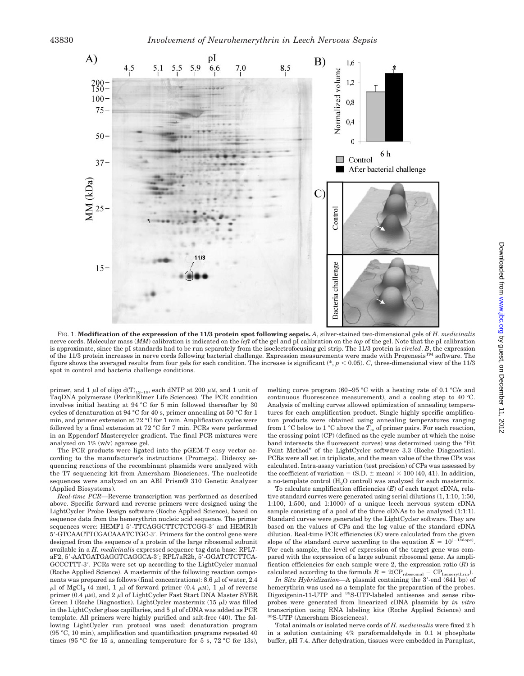

FIG. 1. **Modification of the expression of the 11/3 protein spot following sepsis.** *A*, silver-stained two-dimensional gels of *H. medicinalis* nerve cords. Molecular mass (*MM*) calibration is indicated on the *left* of the gel and pI calibration on the *top* of the gel. Note that the pI calibration is approximate, since the pI standards had to be run separately from the isoelectrofocusing gel strip. The 11/3 protein is *circled*. *B*, the expression of the  $11/3$  protein increases in nerve cords following bacterial challenge. Expression measurements were made with Progenesis<sup>TM</sup> software. The figure shows the averaged results from four gels for each condition. The increase is significant (\*,  $p < 0.05$ ). *C*, three-dimensional view of the 11/3 spot in control and bacteria challenge conditions.

primer, and 1  $\mu$ l of oligo d(T)<sub>12–18</sub>, each dNTP at 200  $\mu$ M, and 1 unit of TaqDNA polymerase (PerkinElmer Life Sciences). The PCR condition involves initial heating at 94 °C for 5 min followed thereafter by 30 cycles of denaturation at 94 °C for 40 s, primer annealing at 50 °C for 1 min, and primer extension at 72 °C for 1 min. Amplification cycles were followed by a final extension at 72 °C for 7 min. PCRs were performed in an Eppendorf Mastercycler gradient. The final PCR mixtures were analyzed on 1% (w/v) agarose gel.

The PCR products were ligated into the pGEM-T easy vector according to the manufacturer's instructions (Promega). Dideoxy sequencing reactions of the recombinant plasmids were analyzed with the T7 sequencing kit from Amersham Biosciences. The nucleotide sequences were analyzed on an ABI Prism® 310 Genetic Analyzer (Applied Biosystems).

*Real-time PCR—*Reverse transcription was performed as described above. Specific forward and reverse primers were designed using the LightCycler Probe Design software (Roche Applied Science), based on sequence data from the hemerythrin nucleic acid sequence. The primer sequences were: HEMF1 5'-TTCAGGCTTCTCTCGG-3' and HEMR1b 5-GTCAACTTCGACAAATCTGC-3. Primers for the control gene were designed from the sequence of a protein of the large ribosomal subunit available in a *H. medicinalis* expressed sequence tag data base: RPL7 aF2, 5-AATGATGAGGTCAGGCA-3; RPL7aR2b, 5-GGATCTCTTCA-GCCCTTT-3. PCRs were set up according to the LightCycler manual (Roche Applied Science). A mastermix of the following reaction components was prepared as follows (final concentrations): 8.6  $\mu$ l of water, 2.4  $\mu$ l of MgCl<sub>2</sub> (4 mM), 1  $\mu$ l of forward primer (0.4  $\mu$ M), 1  $\mu$ l of reverse primer (0.4  $\mu$ M), and 2  $\mu$ l of LightCycler Fast Start DNA Master SYBR Green I (Roche Diagnostics). LightCycler mastermix  $(15 \mu l)$  was filled in the LightCycler glass capillaries, and  $5 \mu$  of cDNA was added as PCR template. All primers were highly purified and salt-free (40). The following LightCycler run protocol was used: denaturation program (95 °C, 10 min), amplification and quantification programs repeated 40 times (95 °C for 15 s, annealing temperature for 5 s, 72 °C for 13s), melting curve program (60–95 °C with a heating rate of 0.1 °C/s and continuous fluorescence measurement), and a cooling step to 40 °C. Analysis of melting curves allowed optimization of annealing temperatures for each amplification product. Single highly specific amplification products were obtained using annealing temperatures ranging from 1 °C below to 1 °C above the  $T_m$  of primer pairs. For each reaction, the crossing point (CP) (defined as the cycle number at which the noise band intersects the fluorescent curves) was determined using the "Fit Point Method" of the LightCycler software 3.3 (Roche Diagnostics). PCRs were all set in triplicate, and the mean value of the three CPs was calculated. Intra-assay variation (test precision) of CPs was assessed by the coefficient of variation =  $(S.D. \pm mean) \times 100 (40, 41)$ . In addition, a no-template control  $(H<sub>2</sub>O$  control) was analyzed for each mastermix.

To calculate amplification efficiencies (*E*) of each target cDNA, relative standard curves were generated using serial dilutions (1, 1:10, 1:50, 1:100, 1:500, and 1:1000) of a unique leech nervous system cDNA sample consisting of a pool of the three cDNAs to be analyzed  $(1:1:1)$ . Standard curves were generated by the LightCycler software. They are based on the values of CPs and the log value of the standard cDNA dilution. Real-time PCR efficiencies (*E*) were calculated from the given slope of the standard curve according to the equation  $E = 10^{(-1/\text{slope})}$ . For each sample, the level of expression of the target gene was compared with the expression of a large subunit ribosomal gene. As amplification efficiencies for each sample were 2, the expression ratio  $(R)$  is calculated according to the formula  $R = 2(\text{CP}_{\text{ribosomal}} - \text{CP}_{\text{hemerythrin}}).$ 

*In Situ Hybridization*—A plasmid containing the 3'-end (641 bp) of hemerythrin was used as a template for the preparation of the probes. Digoxigenin-11-UTP and <sup>35</sup>S-UTP-labeled antisense and sense riboprobes were generated from linearized cDNA plasmids by *in vitro* transcription using RNA labeling kits (Roche Applied Science) and 35S-UTP (Amersham Biosciences).

Total animals or isolated nerve cords of *H. medicinalis* were fixed 2 h in a solution containing 4% paraformaldehyde in 0.1 M phosphate buffer, pH 7.4. After dehydration, tissues were embedded in Paraplast,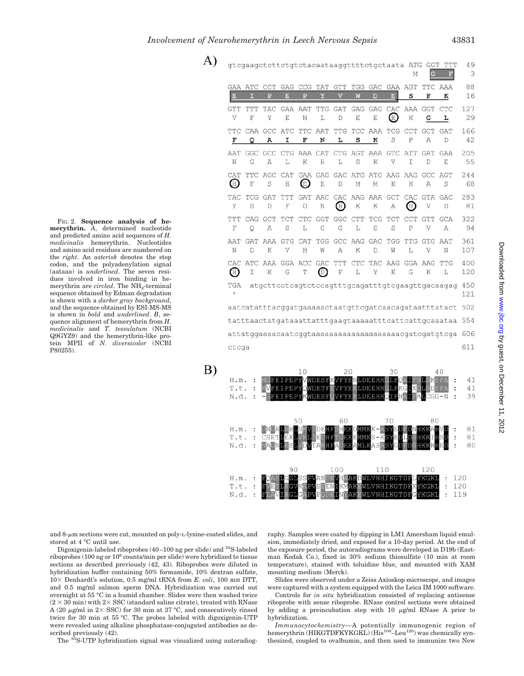$\mathbf{A}$ 

 $B)$ 

N.d.  $\ddot{\phantom{a}}$ 

H.m.

T.t.

N.d.

90

100

FIG. 2. **Sequence analysis of hemerythrin.** *A*, determined nucleotide and predicted amino acid sequences of *H. medicinalis* hemerythrin. Nucleotides and amino acid residues are numbered on the *right*. An *asterisk* denotes the stop codon, and the polyadenylation signal (aataaa) is *underlined*. The seven residues involved in iron binding in hemerythrin are *circled*. The  $NH_2$ -terminal sequence obtained by Edman degradation is shown with a *darker gray background*, and the sequence obtained by ESI-MS-MS is shown in *bold* and *underlined*. *B*, sequence alignment of hemerythrin from *H. medicinalis* and *T. tessulatum* (NCBI Q9GYZ9) and the hemerythrin-like protein MPII of *N. diversicolor* (NCBI P80255).

| gtcgaagctcttctgtctacaataaggttttctgctaata ATG GGT<br>TTT<br>М<br>$\mathbf{F}% _{t}\left  \mathbf{1}\right\rangle =\mathbf{1}_{t}\left  \mathbf{1}\right\rangle$ |                  |          |                          |                     |          |                                                                                 |                 |               | 49<br>3    |                       |                 |                                                            |                |
|----------------------------------------------------------------------------------------------------------------------------------------------------------------|------------------|----------|--------------------------|---------------------|----------|---------------------------------------------------------------------------------|-----------------|---------------|------------|-----------------------|-----------------|------------------------------------------------------------|----------------|
| E                                                                                                                                                              | GAA ATC<br>п     | CCT<br>P | GAG<br>в                 | CCG<br>$\mathbf{p}$ | TAT<br>Y | <b>GTT</b>                                                                      | TGG<br>W        | GAC<br>Б      | E          | GAA AGT<br>s          | F               | TTC AAA<br>к                                               | 88<br>16       |
| <b>GTT</b>                                                                                                                                                     | TTT<br>F         | TAC<br>Υ | <b>GAA</b><br>E          | AAT<br>Ν            | TTG<br>L | GAT<br>D                                                                        | GAG<br>E        | GAG<br>E      | CAC<br>(H) | AAA<br>K              | GGT<br>G        | CTC<br>L                                                   | 127<br>29      |
| F                                                                                                                                                              | TTC CAA GCC<br>Q | А        | ATC TTC<br>I             | F                   | AAT<br>N | TTG<br>L                                                                        | s               | TCC AAA<br>к  | S          | TCG CCT<br>P          | <b>GCT</b><br>A | <b>GAT</b><br>D                                            | 166<br>42      |
| AAT<br>Ν                                                                                                                                                       | GGC<br>G         | A        | L                        | К                   | H        | GCC CTG AAA CAT CTG AGT AAA GTC ATT<br>L                                        | S               | K             | V          | I                     | GAT<br>D        | <b>GAA</b><br>F                                            | 205<br>55      |
| CAT<br>Œ                                                                                                                                                       | F                | S        | Η                        | Œ)                  | E        | TTC AGC CAT GAA GAG GAC ATG ATG AAG AAG GCC<br>D                                | М               | М             | К          | K                     | А               | AGT<br>S                                                   | 244<br>68      |
| TAC<br>Υ                                                                                                                                                       | TCG<br>S         | GAT<br>D | TTT<br>F                 | GAT<br>D            | Ν        | AAC CAC AAG AAA GCT<br>$(\mathbb{H})$                                           | K               | К             | А          | CAC<br>$(\mathbb{H})$ | GTA GAC<br>V    | D                                                          | 283<br>81      |
| TTT<br>F                                                                                                                                                       | CAG<br>Q         | GCT<br>A | TCT<br>S                 | $_{\rm CTC}$<br>L   | GGT<br>G | GGC<br>G                                                                        | <b>CTT</b><br>L | TCG<br>S      | TCT<br>S   | CCT<br>P              | GTT<br>V        | GCA<br>А                                                   | 322<br>94      |
| AAT<br>Ν                                                                                                                                                       | GAT<br>D         | AAA<br>K | <b>GTG</b><br>V          | CAT<br>Н            | TGG<br>W | А                                                                               | GCC AAG<br>K    | GAC<br>D      | TGG<br>W   | TTG<br>L              | GTG<br>V        | AAT<br>Ν                                                   | 361<br>107     |
| $(\mathbb{H})$                                                                                                                                                 | I                | К        | CAC ATC AAA GGA ACC<br>G | T                   | GAC<br>⊚ | TTT<br>F                                                                        | CTC<br>L        | TAC<br>Υ      | AAG<br>K   | G                     | GGA AAG<br>К    | TTG<br>L                                                   | 400<br>120     |
| TGA<br>$\star$                                                                                                                                                 |                  |          |                          |                     |          |                                                                                 |                 |               |            |                       |                 | atgcttcctcagtctccagtttgcagatttgtcgaagttgacaagag            | 450<br>121     |
| aatcatatttacggatgaaaaactaatgttcgatcaacagataatttatact                                                                                                           |                  |          |                          |                     |          |                                                                                 |                 |               | 502        |                       |                 |                                                            |                |
|                                                                                                                                                                |                  |          |                          |                     |          |                                                                                 |                 |               | 554        |                       |                 |                                                            |                |
|                                                                                                                                                                |                  |          |                          |                     |          |                                                                                 |                 |               | 606        |                       |                 |                                                            |                |
| ctcga                                                                                                                                                          |                  |          |                          |                     |          |                                                                                 |                 |               |            |                       |                 |                                                            | 611            |
| H.m.<br>T.t.<br>N.d.                                                                                                                                           | :<br>፡<br>÷      |          | MVFEIPEPYOWDETF          | 10                  | WDESE    | 2.0<br>MCFEIPEPYVWDESFKVFYENLDEEHKCLFOAIFNLSKSPA<br>EVFYEKLDEEHKGLFKGIKDL<br>VF |                 | YEKLDEBHKOLFN | 30         |                       | ∎A∎CGG-N        | 40<br>$\ddot{\phantom{a}}$<br>SDSPA<br>÷<br>$\ddot{\cdot}$ | 41<br>41<br>39 |
| H.m.<br>T.t.                                                                                                                                                   |                  |          | CSETLEKL                 | 50<br>KHLSKV        |          | 60<br>DEHFSHEEDMMKK-ASYSDE<br><b>HFTDEEEMMKS</b>                                |                 |               | 70<br>-KSY |                       | 80<br>HKKAH     |                                                            | 81<br>81       |

and  $8-\mu m$  sections were cut, mounted on poly-L-lysine-coated slides, and stored at 4 °C until use.

Digoxigenin-labeled riboprobes (40–100 ng per slide) and 35S-labeled riboprobes (100 ng or 106 counts/min per slide) were hybridized to tissue sections as described previously (42, 43). Riboprobes were diluted in hybridization buffer containing 50% formamide, 10% dextran sulfate,  $10\times$  Denhardt's solution, 0.5 mg/ml tRNA from *E. coli*, 100 mM DTT, and 0.5 mg/ml salmon sperm DNA. Hybridization was carried out overnight at 55 °C in a humid chamber. Slides were then washed twice  $(2 \times 30$  min) with  $2 \times$  SSC (standard saline citrate), treated with RNase A (20  $\mu$ g/ml in 2× SSC) for 30 min at 37 °C, and consecutively rinsed twice for 30 min at 55 °C. The probes labeled with digoxigenin-UTP were revealed using alkaline phosphatase-conjugated antibodies as described previously (42).

The 35S-UTP hybridization signal was visualized using autoradiog-

raphy. Samples were coated by dipping in LM1 Amersham liquid emulsion, immediately dried, and exposed for a 10-day period. At the end of the exposure period, the autoradiograms were developed in D19b (Eastman Kodak Co.), fixed in 30% sodium thiosulfate (10 min at room temperature), stained with toluidine blue, and mounted with XAM mounting medium (Merck).

110

VLVNHIKGTDI

Slides were observed under a Zeiss Axioskop microscope, and images were captured with a system equipped with the Leica IM 1000 software.

Controls for *in situ* hybridization consisted of replacing antisense riboprobe with sense riboprobe. RNase control sections were obtained by adding a preincubation step with  $10 \mu g/ml$  RNase A prior to hybridization.

*Immunocytochemistry—*A potentially immunogenic region of hemerythrin (HIKGTDFKYKGKL) (His<sup>108</sup>-Leu<sup>120</sup>) was chemically synthesized, coupled to ovalbumin, and then used to immunize two New

80

120

**KGKI** 

 $\ddot{\cdot}$ 120

 $\mathbf{r}$ 120

119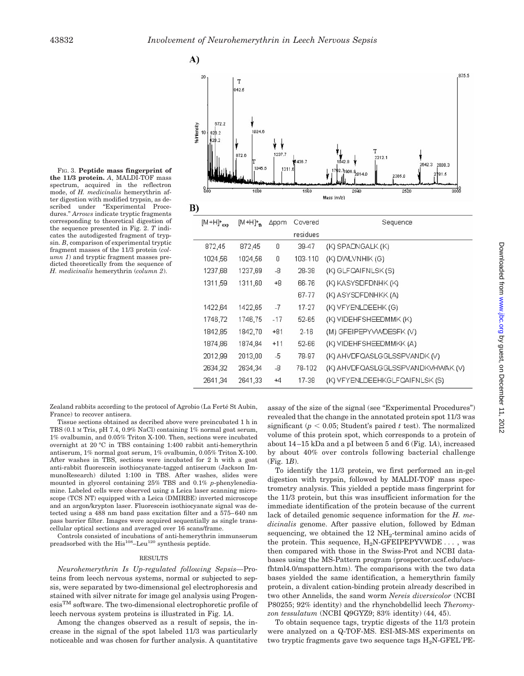A)

FIG. 3. **Peptide mass fingerprint of the 11/3 protein.** *A*, MALDI-TOF mass spectrum, acquired in the reflectron mode, of *H. medicinalis* hemerythrin after digestion with modified trypsin, as described under "Experimental Procedures." *Arrows* indicate tryptic fragments corresponding to theoretical digestion of the sequence presented in Fig. 2. *T* indicates the autodigested fragment of trypsin. *B*, comparison of experimental tryptic fragment masses of the 11/3 protein (*column 1*) and tryptic fragment masses predicted theoretically from the sequence of *H. medicinalis* hemerythrin (*column 2*).



| $\left[\mathbb{N}^{\dagger}$ $\top$ $\Gamma$ <sup>250</sup> | [MTH]'+ | <b>Dhhuu</b> | COVETED  | <b>Sequence</b>                   |
|-------------------------------------------------------------|---------|--------------|----------|-----------------------------------|
|                                                             |         |              | residues |                                   |
| 872,45                                                      | 872,45  | 0            | 39-47    | (K) SPADNGALK (K)                 |
| 1024.56                                                     | 1024,56 | 0            | 103-110  | (K) DVVLVNHIK (G)                 |
| 1237,68                                                     | 1237,69 | -8           | 28-38    | (K) GLFQAIFNLSK(S)                |
| 1311,59                                                     | 1311,60 | +8           | 66-76    | (K) KASYSDFDNHK (K)               |
|                                                             |         |              | 67-77    | (K) ASYSDFDNHKK (A)               |
| 1422,64                                                     | 1422,65 | $-7$         | 17-27    | (K) VFYENLDEEHK (G)               |
| 1746,72                                                     | 1746,75 | -17          | 52-65    | (K) VIDEHFSHEEDMMK (K)            |
| 1842.85                                                     | 1842.70 | $+81$        | 2-16     | (M) GFEIPEPYVWDESFK (V)           |
| 1874,86                                                     | 1874,84 | $+11$        | 52-66    | (K) VIDEHFSHEEDMMKK (A)           |
| 2012,99                                                     | 2013,00 | -5           | 78-97    | (K) AHVDFQASLGGLSSPVANDK (V)      |
| 2634,32                                                     | 2634,34 | -8           | 78-102   | (K) AHVDFQASLGGLSSPVANDKVHWAK (V) |
| 2641.34                                                     | 2641.33 | $+4$         | 17-38    | (K) VFYENLDEEHKGLFQAIFNLSK (S)    |

Zealand rabbits according to the protocol of Agrobio (La Ferté St Aubin, France) to recover antisera.

Tissue sections obtained as decribed above were preincubated 1 h in TBS (0.1 M Tris, pH 7.4, 0.9% NaCl) containing 1% normal goat serum, 1% ovalbumin, and 0.05% Triton X-100. Then, sections were incubated overnight at 20 °C in TBS containing 1:400 rabbit anti-hemerythrin antiserum, 1% normal goat serum, 1% ovalbumin, 0.05% Triton X-100. After washes in TBS, sections were incubated for 2 h with a goat anti-rabbit fluorescein isothiocyanate-tagged antiserum (Jackson ImmunoResearch) diluted 1:100 in TBS. After washes, slides were mounted in glycerol containing 25% TBS and 0.1% *p*-phenylenediamine. Labeled cells were observed using a Leica laser scanning microscope (TCS NT) equipped with a Leica (DMIRBE) inverted microscope and an argon/krypton laser. Fluorescein isothiocyanate signal was detected using a 488 nm band pass excitation filter and a 575–640 nm pass barrier filter. Images were acquired sequentially as single transcellular optical sections and averaged over 16 scans/frame.

Controls consisted of incubations of anti-hemerythrin immunserum preadsorbed with the  $His^{108}$ -Leu<sup>120</sup> synthesis peptide.

#### RESULTS

*Neurohemerythrin Is Up-regulated following Sepsis—*Proteins from leech nervous systems, normal or subjected to sepsis, were separated by two-dimensional gel electrophoresis and stained with silver nitrate for image gel analysis using Progen $e^{im}$  software. The two-dimensional electrophoretic profile of leech nervous system proteins is illustrated in Fig. 1*A*.

Among the changes observed as a result of sepsis, the increase in the signal of the spot labeled 11/3 was particularly noticeable and was chosen for further analysis. A quantitative assay of the size of the signal (see "Experimental Procedures") revealed that the change in the annotated protein spot 11/3 was significant ( $p < 0.05$ ; Student's paired  $t$  test). The normalized volume of this protein spot, which corresponds to a protein of about 14–15 kDa and a pI between 5 and 6 (Fig. 1*A*), increased by about 40% over controls following bacterial challenge (Fig. 1*B*).

To identify the 11/3 protein, we first performed an in-gel digestion with trypsin, followed by MALDI-TOF mass spectrometry analysis. This yielded a peptide mass fingerprint for the 11/3 protein, but this was insufficient information for the immediate identification of the protein because of the current lack of detailed genomic sequence information for the *H. medicinalis* genome. After passive elution, followed by Edman sequencing, we obtained the  $12 \text{ NH}_2$ -terminal amino acids of the protein. This sequence,  $H_2N$ -GFEIPEPYVWDE . . . , was then compared with those in the Swiss-Prot and NCBI databases using the MS-Pattern program (prospector.ucsf.edu/ucsfhtml4.0/mspattern.htm). The comparisons with the two data bases yielded the same identification, a hemerythrin family protein, a divalent cation-binding protein already described in two other Annelids, the sand worm *Nereis diversicolor* (NCBI P80255; 92% identity) and the rhynchobdellid leech *Theromyzon tessulatum* (NCBI Q9GYZ9; 83% identity) (44, 45).

To obtain sequence tags, tryptic digests of the 11/3 protein were analyzed on a Q-TOF-MS. ESI-MS-MS experiments on two tryptic fragments gave two sequence tags  $H_2N-GFEL'PE-$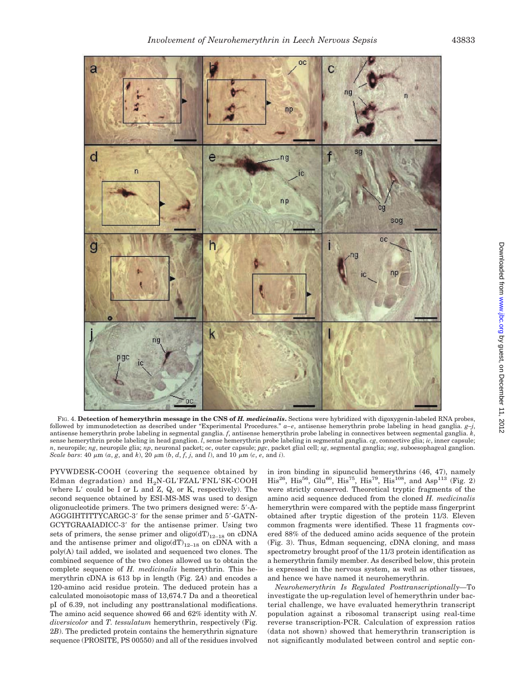

FIG. 4. **Detection of hemerythrin message in the CNS of** *H. medicinalis***.** Sections were hybridized with digoxygenin-labeled RNA probes, followed by immunodetection as described under "Experimental Procedures." *a–e*, antisense hemerythrin probe labeling in head ganglia. *g–j*, antisense hemerythrin probe labeling in segmental ganglia. *f*, antisense hemerythrin probe labeling in connectives between segmental ganglia. *k*, sense hemerythrin probe labeling in head ganglion. *l*, sense hemerythrin probe labeling in segmental ganglia. *cg*, connective glia; *ic*, inner capsule; *n*, neuropile; *ng*, neuropile glia; *np*, neuronal packet; *oc*, outer capsule; *pgc*, packet glial cell; *sg*, segmental ganglia; *sog*, suboesophageal ganglion. *Scale bars*: 40  $\mu$ m ( $\alpha$ ,  $g$ , and  $k$ ), 20  $\mu$ m ( $b$ ,  $d$ ,  $f$ ,  $j$ , and  $l$ ), and 10  $\mu$ m ( $c$ ,  $e$ , and  $i$ ).

PYVWDESK-COOH (covering the sequence obtained by Edman degradation) and  $H_2N\text{-}GL'FZAL'FNL'SK\text{-}COOH$ (where  $L'$  could be I or  $L$  and  $Z$ ,  $Q$ , or  $K$ , respectively). The second sequence obtained by ESI-MS-MS was used to design oligonucleotide primers. The two primers designed were: 5-A-AGGGIHTITTYCARGC-3' for the sense primer and 5'-GATN-GCYTGRAAIADICC-3' for the antisense primer. Using two sets of primers, the sense primer and  $oligo(dT)_{12-18}$  on cDNA and the antisense primer and  $oligo(dT)_{12-18}$  on cDNA with a poly(A) tail added, we isolated and sequenced two clones. The combined sequence of the two clones allowed us to obtain the complete sequence of *H. medicinalis* hemerythrin. This hemerythrin cDNA is 613 bp in length (Fig. 2*A*) and encodes a 120-amino acid residue protein. The deduced protein has a calculated monoisotopic mass of 13,674.7 Da and a theoretical pI of 6.39, not including any posttranslational modifications. The amino acid sequence showed 66 and 62% identity with *N. diversicolor* and *T. tessulatum* hemerythrin, respectively (Fig. 2*B*). The predicted protein contains the hemerythrin signature sequence (PROSITE, PS 00550) and all of the residues involved

in iron binding in sipunculid hemerythrins (46, 47), namely  $His^{26}$ ,  $His^{56}$ ,  $Glu^{60}$ ,  $His^{75}$ ,  $His^{79}$ ,  $His^{108}$ , and  $Asp^{113}$  (Fig. 2) were strictly conserved. Theoretical tryptic fragments of the amino acid sequence deduced from the cloned *H. medicinalis* hemerythrin were compared with the peptide mass fingerprint obtained after tryptic digestion of the protein 11/3. Eleven common fragments were identified. These 11 fragments covered 88% of the deduced amino acids sequence of the protein (Fig. 3). Thus, Edman sequencing, cDNA cloning, and mass spectrometry brought proof of the 11/3 protein identification as a hemerythrin family member. As described below, this protein is expressed in the nervous system, as well as other tissues, and hence we have named it neurohemerythrin.

*Neurohemerythrin Is Regulated Posttranscriptionally—*To investigate the up-regulation level of hemerythrin under bacterial challenge, we have evaluated hemerythrin transcript population against a ribosomal transcript using real-time reverse transcription-PCR. Calculation of expression ratios (data not shown) showed that hemerythrin transcription is not significantly modulated between control and septic con-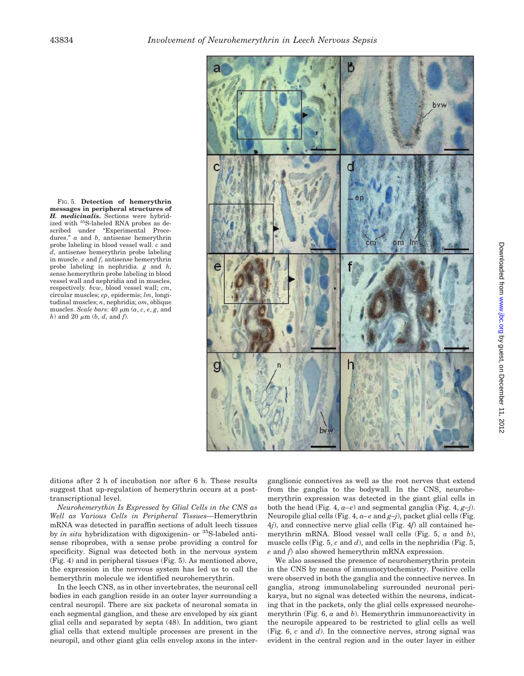FIG. 5. **Detection of hemerythrin messages in peripheral structures of** *H. medicinalis***.** Sections were hybridized with 35S-labeled RNA probes as described under "Experimental Procedures." *a* and *b*, antisense hemerythrin probe labeling in blood vessel wall. *c* and *d*, antisense hemerythrin probe labeling in muscle. *e* and *f*, antisense hemerythrin probe labeling in nephridia. *g* and *h*, sense hemerythrin probe labeling in blood vessel wall and nephridia and in muscles, respectively. *bvw*, blood vessel wall; *cm*, circular muscles; *ep*, epidermis; *lm*, longitudinal muscles; *n*, nephridia; *om*, oblique muscles. *Scale bars*: 40  $\mu$ m (*a*, *c*, *e*, *g*, and  $h)$  and 20  $\mu$ m (*b*, *d*, and *f*).



ditions after 2 h of incubation nor after 6 h. These results suggest that up-regulation of hemerythrin occurs at a posttranscriptional level.

*Neurohemerythin Is Expressed by Glial Cells in the CNS as Well as Various Cells in Peripheral Tissues—*Hemerythrin mRNA was detected in paraffin sections of adult leech tissues by *in situ* hybridization with digoxigenin- or 35S-labeled antisense riboprobes, with a sense probe providing a control for specificity. Signal was detected both in the nervous system (Fig. 4) and in peripheral tissues (Fig. 5). As mentioned above, the expression in the nervous system has led us to call the hemerythrin molecule we identified neurohemerythrin.

In the leech CNS, as in other invertebrates, the neuronal cell bodies in each ganglion reside in an outer layer surrounding a central neuropil. There are six packets of neuronal somata in each segmental ganglion, and these are enveloped by six giant glial cells and separated by septa (48). In addition, two giant glial cells that extend multiple processes are present in the neuropil, and other giant glia cells envelop axons in the interganglionic connectives as well as the root nerves that extend from the ganglia to the bodywall. In the CNS, neurohemerythrin expression was detected in the giant glial cells in both the head (Fig. 4, *a–e*) and segmental ganglia (Fig. 4, *g–j*). Neuropile glial cells (Fig. 4, *a–e* and *g–j*), packet glial cells (Fig. 4*j*), and connective nerve glial cells (Fig. 4*f*) all contained hemerythrin mRNA. Blood vessel wall cells (Fig. 5, *a* and *b*), muscle cells (Fig. 5, *c* and *d*), and cells in the nephridia (Fig. 5, *e* and *f*) also showed hemerythrin mRNA expression.

We also assessed the presence of neurohemerythrin protein in the CNS by means of immunocytochemistry. Positive cells were observed in both the ganglia and the connective nerves. In ganglia, strong immunolabeling surrounded neuronal perikarya, but no signal was detected within the neurons, indicating that in the packets, only the glial cells expressed neurohemerythrin (Fig. 6, *a* and *b*). Hemerythrin immunoreactivity in the neuropile appeared to be restricted to glial cells as well (Fig. 6, *c* and *d*). In the connective nerves, strong signal was evident in the central region and in the outer layer in either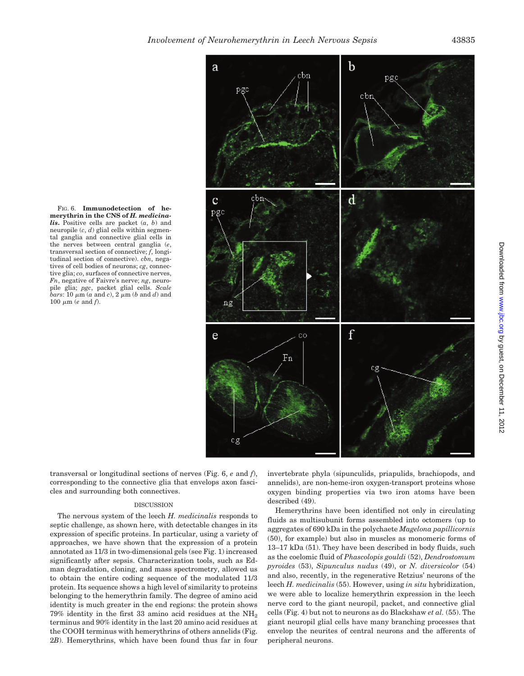FIG. 6. **Immunodetection of hemerythrin in the CNS of** *H. medicinalis***.** Positive cells are packet (*a*, *b*) and neuropile (*c*, *d*) glial cells within segmental ganglia and connective glial cells in the nerves between central ganglia (*e*, transversal section of connective; *f*, longitudinal section of connective). *cbn*, negatives of cell bodies of neurons; *cg*, connective glia; *co*, surfaces of connective nerves, *Fn*, negative of Faivre's nerve; *ng*, neuropile glia; *pgc*, packet glial cells. *Scale*  $bars$ : 10  $\mu$ m ( $a$  and  $c$ ), 2  $\mu$ m ( $b$  and  $d$ ) and 100  $\mu$ m (*e* and *f*).



transversal or longitudinal sections of nerves (Fig. 6, *e* and *f*), corresponding to the connective glia that envelops axon fascicles and surrounding both connectives.

### **DISCUSSION**

The nervous system of the leech *H. medicinalis* responds to septic challenge, as shown here, with detectable changes in its expression of specific proteins. In particular, using a variety of approaches, we have shown that the expression of a protein annotated as 11/3 in two-dimensional gels (see Fig. 1) increased significantly after sepsis. Characterization tools, such as Edman degradation, cloning, and mass spectrometry, allowed us to obtain the entire coding sequence of the modulated 11/3 protein. Its sequence shows a high level of similarity to proteins belonging to the hemerythrin family. The degree of amino acid identity is much greater in the end regions: the protein shows  $79\%$  identity in the first 33 amino acid residues at the NH<sub>2</sub> terminus and 90% identity in the last 20 amino acid residues at the COOH terminus with hemerythrins of others annelids (Fig. 2*B*). Hemerythrins, which have been found thus far in four invertebrate phyla (sipunculids, priapulids, brachiopods, and annelids), are non-heme-iron oxygen-transport proteins whose oxygen binding properties via two iron atoms have been described (49).

Hemerythrins have been identified not only in circulating fluids as multisubunit forms assembled into octomers (up to aggregates of 690 kDa in the polychaete *Magelona papillicornis* (50), for example) but also in muscles as monomeric forms of 13–17 kDa (51). They have been described in body fluids, such as the coelomic fluid of *Phascolopis gouldi* (52), *Dendrostomum pyroides* (53), *Sipunculus nudus* (49), or *N. diversicolor* (54) and also, recently, in the regenerative Retzius' neurons of the leech *H. medicinalis* (55). However, using *in situ* hybridization, we were able to localize hemerythrin expression in the leech nerve cord to the giant neuropil, packet, and connective glial cells (Fig. 4) but not to neurons as do Blackshaw *et al.* (55). The giant neuropil glial cells have many branching processes that envelop the neurites of central neurons and the afferents of peripheral neurons.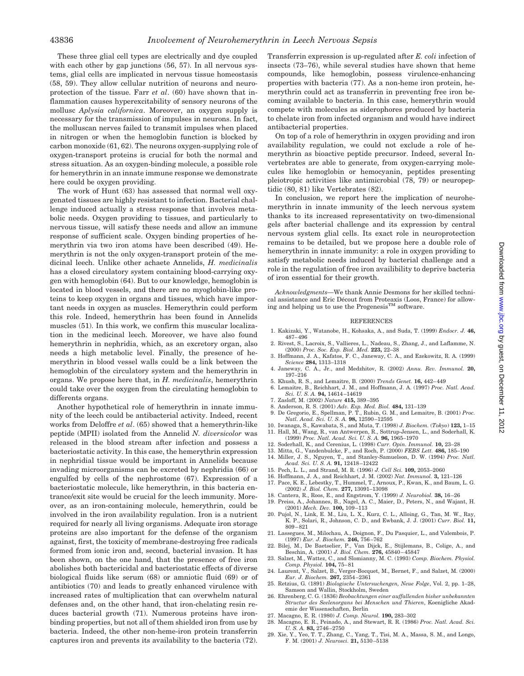These three glial cell types are electrically and dye coupled with each other by gap junctions (56, 57). In all nervous systems, glial cells are implicated in nervous tissue homeostasis (58, 59). They allow cellular nutrition of neurons and neuroprotection of the tissue. Farr *et al*. (60) have shown that inflammation causes hyperexcitability of sensory neurons of the mollusc *Aplysia californica*. Moreover, an oxygen supply is necessary for the transmission of impulses in neurons. In fact, the molluscan nerves failed to transmit impulses when placed in nitrogen or when the hemoglobin function is blocked by carbon monoxide (61, 62). The neurons oxygen-supplying role of oxygen-transport proteins is crucial for both the normal and stress situation. As an oxygen-binding molecule, a possible role for hemerythrin in an innate immune response we demonstrate here could be oxygen providing.

The work of Hunt (63) has assessed that normal well oxygenated tissues are highly resistant to infection. Bacterial challenge induced actually a stress response that involves metabolic needs. Oxygen providing to tissues, and particularly to nervous tissue, will satisfy these needs and allow an immune response of sufficient scale. Oxygen binding properties of hemerythrin via two iron atoms have been described (49). Hemerythrin is not the only oxygen-transport protein of the medicinal leech. Unlike other achaete Annelids, *H. medicinalis* has a closed circulatory system containing blood-carrying oxygen with hemoglobin (64). But to our knowledge, hemoglobin is located in blood vessels, and there are no myoglobin-like proteins to keep oxygen in organs and tissues, which have important needs in oxygen as muscles. Hemerythrin could perform this role. Indeed, hemerythrin has been found in Annelids muscles (51). In this work, we confirm this muscular localization in the medicinal leech. Moreover, we have also found hemerythrin in nephridia, which, as an excretory organ, also needs a high metabolic level. Finally, the presence of hemerythrin in blood vessel walls could be a link between the hemoglobin of the circulatory system and the hemerythrin in organs. We propose here that, in *H. medicinalis*, hemerythrin could take over the oxygen from the circulating hemoglobin to differents organs.

Another hypothetical role of hemerythrin in innate immunity of the leech could be antibacterial activity. Indeed, recent works from Deloffre *et al*. (65) showed that a hemerythrin-like peptide (MPII) isolated from the Annelid *N. diversicolor* was released in the blood stream after infection and possess a bacteriostatic activity. In this case, the hemerythrin expression in nephridial tissue would be important in Annelids because invading microorganisms can be excreted by nephridia (66) or engulfed by cells of the nephrostome (67). Expression of a bacteriostatic molecule, like hemerythrin, in this bacteria entrance/exit site would be crucial for the leech immunity. Moreover, as an iron-containing molecule, hemerythrin, could be involved in the iron availability regulation. Iron is a nutrient required for nearly all living organisms. Adequate iron storage proteins are also important for the defense of the organism against, first, the toxicity of membrane-destroying free radicals formed from ionic iron and, second, bacterial invasion. It has been shown, on the one hand, that the presence of free iron abolishes both bactericidal and bacteriostatic effects of diverse biological fluids like serum (68) or amniotic fluid (69) or of antibiotics (70) and leads to greatly enhanced virulence with increased rates of multiplication that can overwhelm natural defenses and, on the other hand, that iron-chelating resin reduces bacterial growth (71). Numerous proteins have ironbinding properties, but not all of them shielded iron from use by bacteria. Indeed, the other non-heme-iron protein transferrin captures iron and prevents its availability to the bacteria (72). Transferrin expression is up-regulated after *E. coli* infection of insects (73–76), while several studies have shown that heme compounds, like hemoglobin, possess virulence-enhancing properties with bacteria (77). As a non-heme iron protein, hemerythrin could act as transferrin in preventing free iron becoming available to bacteria. In this case, hemerythrin would compete with molecules as siderophores produced by bacteria to chelate iron from infected organism and would have indirect antibacterial properties.

On top of a role of hemerythrin in oxygen providing and iron availability regulation, we could not exclude a role of hemerythrin as bioactive peptide precursor. Indeed, several Invertebrates are able to generate, from oxygen-carrying molecules like hemoglobin or hemocyanin, peptides presenting pleiotropic activities like antimicrobial (78, 79) or neuropeptidic (80, 81) like Vertebrates (82).

In conclusion, we report here the implication of neurohemerythrin in innate immunity of the leech nervous system thanks to its increased representativity on two-dimensional gels after bacterial challenge and its expression by central nervous system glial cells. Its exact role in neuroprotection remains to be detailed, but we propose here a double role of hemerythrin in innate immunity: a role in oxygen providing to satisfy metabolic needs induced by bacterial challenge and a role in the regulation of free iron availibility to deprive bacteria of iron essential for their growth.

*Acknowledgments—*We thank Annie Desmons for her skilled technical assistance and Eric Décout from Proteaxis (Loos, France) for allowing and helping us to use the Progenesis $^{TM}$  software.

#### REFERENCES

- 1. Kakizaki, Y., Watanobe, H., Kohsaka, A., and Suda, T. (1999) *Endocr. J.* **46,** 487–496
- 2. Rivest, S., Lacroix, S., Vallieres, L., Nadeau, S., Zhang, J., and Laflamme, N. (2000) *Proc. Soc. Exp. Biol. Med.* **223,** 22–38
- 3. Hoffmann, J. A., Kafatos, F. C., Janeway, C. A., and Ezekowitz, R. A. (1999) *Science* **284,** 1313–1318
- 4. Janeway, C. A., Jr., and Medzhitov, R. (2002) *Annu. Rev. Immunol.* **20,** 197–216
- 5. Khush, R. S., and Lemaitre, B. (2000) *Trends Genet.* **16,** 442–449
- 6. Lemaitre, B., Reichhart, J. M., and Hoffmann, J. A. (1997) *Proc. Natl. Acad. Sci. U. S. A.* **94,** 14614–14619
- 7. Zasloff, M. (2002) *Nature* **415,** 389–395
- 8. Anderson, R. S. (2001) *Adv. Exp. Med. Biol.* **484,** 131–139 9. De Gregorio, E., Spellman, P. T., Rubin, G. M., and Lemaitre, B. (2001) *Proc.*
- *Natl. Acad. Sci. U. S. A.* **98,** 12590–12595 10. Iwanaga, S., Kawabata, S., and Muta, T. (1998) *J. Biochem.* (*Tokyo*) **123,** 1–15
- 11. Hall, M., Wang, R., van Antwerpen, R., Sottrup-Jensen, L., and Soderhall, K. (1999) *Proc. Natl. Acad. Sci. U. S. A.* **96,** 1965–1970
- 12. Soderhall, K., and Cerenius, L. (1998) *Curr. Opin. Immunol.* **10,** 23–28
- 13. Mitta, G., Vandenbulcke, F., and Roch, P. (2000) *FEBS Lett.* **486,** 185–190
- 14. Miller, J. S., Nguyen, T., and Stanley-Samuelson, D. W. (1994) *Proc. Natl. Acad. Sci. U. S. A.* **91,** 12418–12422
- 15. Pech, L. L., and Strand, M. R. (1996) *J. Cell Sci.* **109,** 2053–2060
- 16. Hoffmann, J. A., and Reichhart, J. M. (2002) *Nat. Immunol.* **3,** 121–126
- 17. Pace, K. E., Lebestky, T., Hummel, T., Arnoux, P., Kwan, K., and Baum, L. G. (2002) *J. Biol. Chem.* **277,** 13091–13098
- 18. Cantera, R., Roos, E., and Engstrom, Y. (1999) *J. Neurobiol.* **38,** 16–26 19. Preiss, A., Johannes, B., Nagel, A. C., Maier, D., Peters, N., and Wajant, H. (2001) *Mech. Dev.* **100,** 109–113
- 20. Pujol, N., Link, E. M., Liu, L. X., Kurz, C. L., Alloing, G., Tan, M. W., Ray, K. P., Solari, R., Johnson, C. D., and Ewbank, J. J. (2001) *Curr. Biol.* **11,** 809–821
- 21. Lassegues, M., Milochau, A., Doignon, F., Du Pasquier, L., and Valembois, P. (1997) *Eur. J. Biochem.* **246,** 756–762
- 22. Bilej, M., De Baetselier, P., Van Dijck, E., Stijlemans, B., Colige, A., and Beschin, A. (2001) *J. Biol. Chem.* **276,** 45840–45847
- 23. Salzet, M., Wattez, C., and Slomianny, M. C. (1993) *Comp. Biochem. Physiol. Comp. Physiol.* **104,** 75–81
- 24. Laurent, V., Salzet, B., Verger-Bocquet, M., Bernet, F., and Salzet, M. (2000) *Eur. J. Biochem.* **267,** 2354–2361
- 25. Retzius, G. (1891) *Biologische Untersuchengen, Neue Folge*, Vol. 2, pp. 1–28, Samson and Wallin, Stockholm, Sweden 26. Ehrenberg, C. G. (1836) *Beobachtungen einer auffallenden bisher unbekannten*
- *Structur des Seelenorgans bei Menschen und Thieren*, Koenigliche Akademie der Wissenschaften, Berlin
- 27. Macagno, E. R. (1980) *J. Comp. Neurol.* **190,** 283–302
- 28. Macagno, E. R., Peinado, A., and Stewart, R. R. (1986) *Proc. Natl. Acad. Sci. U. S. A.* **83,** 2746–2750
- 29. Xie, Y., Yeo, T. T., Zhang, C., Yang, T., Tisi, M. A., Massa, S. M., and Longo, F. M. (2001) *J. Neurosci.* **21,** 5130–5138